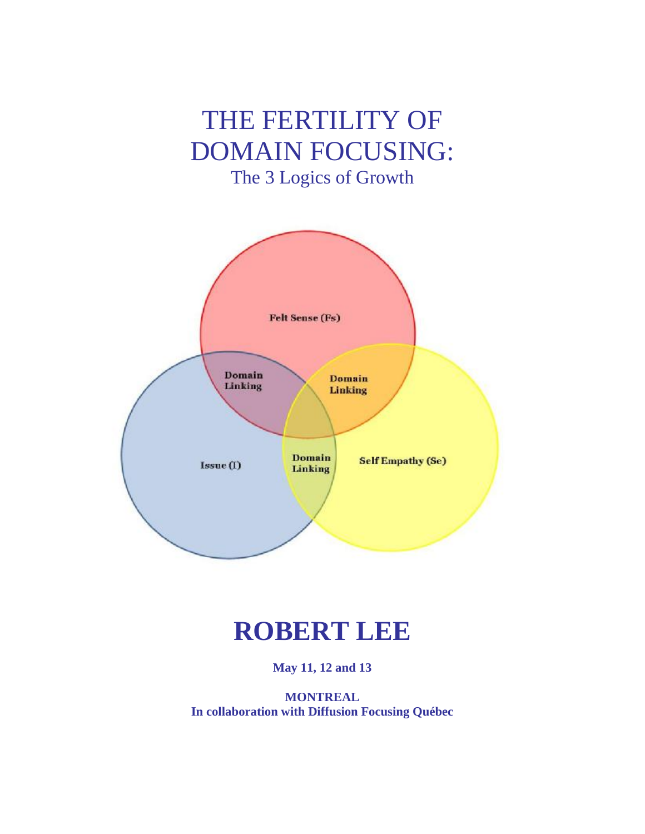# THE FERTILITY OF DOMAIN FOCUSING: The 3 Logics of Growth



## **ROBERT LEE**

## **May 11, 12 and 13**

**MONTREAL In collaboration with Diffusion Focusing Québec**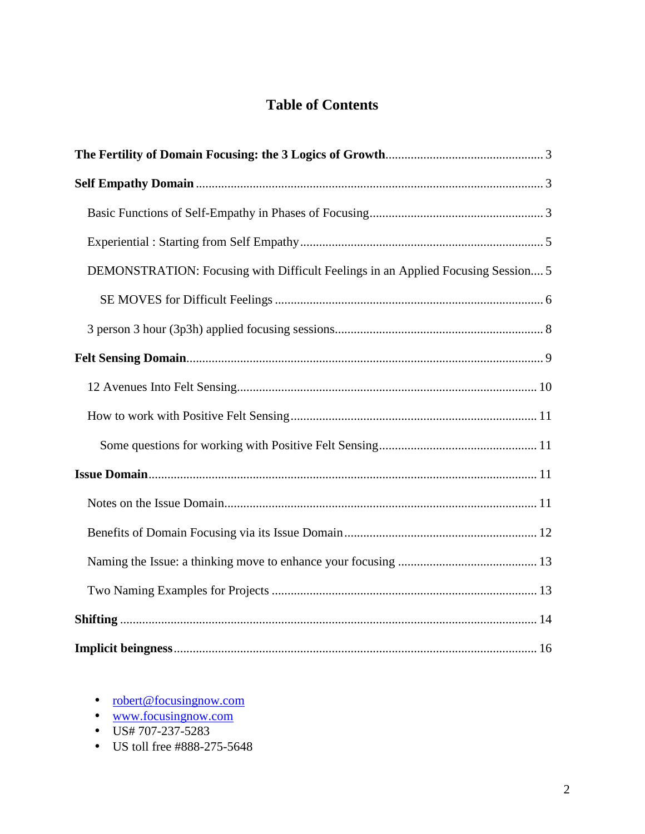## **Table of Contents**

| DEMONSTRATION: Focusing with Difficult Feelings in an Applied Focusing Session 5 |
|----------------------------------------------------------------------------------|
|                                                                                  |
|                                                                                  |
|                                                                                  |
|                                                                                  |
|                                                                                  |
|                                                                                  |
|                                                                                  |
|                                                                                  |
|                                                                                  |
|                                                                                  |
|                                                                                  |
|                                                                                  |
|                                                                                  |

- [robert@focusingnow.com](mailto:robert@focusingnow.com)
- [www.focusingnow.com](http://www.focusingnow.com)
- US# 707-237-5283
- US toll free #888-275-5648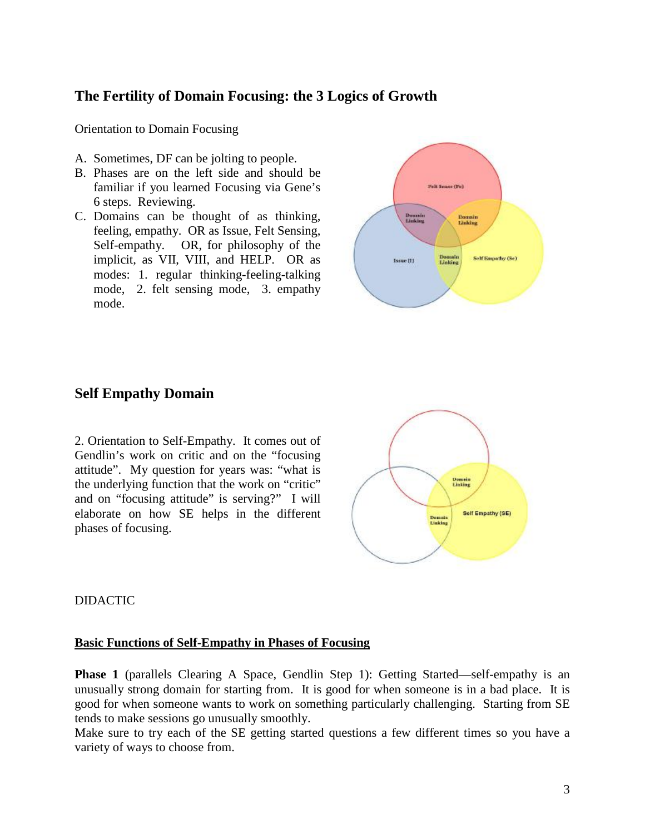## **The Fertility of Domain Focusing: the 3 Logics of Growth**

Orientation to Domain Focusing

- A. Sometimes, DF can be jolting to people.
- B. Phases are on the left side and should be familiar if you learned Focusing via Gene's 6 steps. Reviewing.
- C. Domains can be thought of as thinking, feeling, empathy. OR as Issue, Felt Sensing, Self-empathy. OR, for philosophy of the implicit, as VII, VIII, and HELP. OR as modes: 1. regular thinking-feeling-talking mode, 2. felt sensing mode, 3. empathy mode.



## **Self Empathy Domain**

2. Orientation to Self-Empathy. It comes out of Gendlin's work on critic and on the "focusing attitude". My question for years was: "what is the underlying function that the work on "critic" and on "focusing attitude" is serving?" I will elaborate on how SE helps in the different phases of focusing.



#### DIDACTIC

#### **Basic Functions of Self-Empathy in Phases of Focusing**

**Phase 1** (parallels Clearing A Space, Gendlin Step 1): Getting Started—self-empathy is an unusually strong domain for starting from. It is good for when someone is in a bad place. It is good for when someone wants to work on something particularly challenging. Starting from SE tends to make sessions go unusually smoothly.

Make sure to try each of the SE getting started questions a few different times so you have a variety of ways to choose from.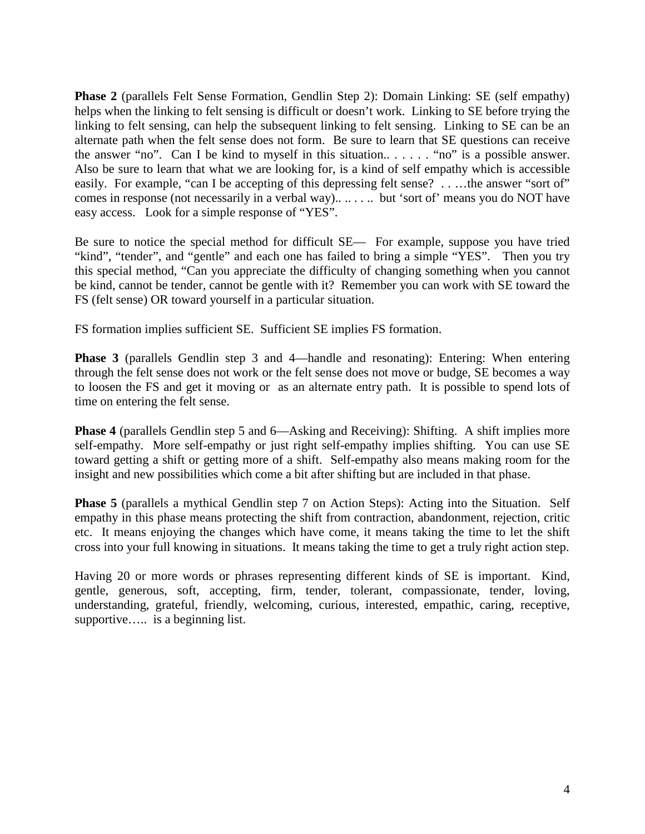**Phase 2** (parallels Felt Sense Formation, Gendlin Step 2): Domain Linking: SE (self empathy) helps when the linking to felt sensing is difficult or doesn't work. Linking to SE before trying the linking to felt sensing, can help the subsequent linking to felt sensing. Linking to SE can be an alternate path when the felt sense does not form. Be sure to learn that SE questions can receive the answer "no". Can I be kind to myself in this situation.. . . . . . "no" is a possible answer. Also be sure to learn that what we are looking for, is a kind of self empathy which is accessible easily. For example, "can I be accepting of this depressing felt sense? . . . . . the answer "sort of" comes in response (not necessarily in a verbal way).. .. . . .. but 'sort of' means you do NOT have easy access. Look for a simple response of "YES".

Be sure to notice the special method for difficult SE— For example, suppose you have tried "kind", "tender", and "gentle" and each one has failed to bring a simple "YES". Then you try this special method, "Can you appreciate the difficulty of changing something when you cannot be kind, cannot be tender, cannot be gentle with it? Remember you can work with SE toward the FS (felt sense) OR toward yourself in a particular situation.

FS formation implies sufficient SE. Sufficient SE implies FS formation.

**Phase 3** (parallels Gendlin step 3 and 4—handle and resonating): Entering: When entering through the felt sense does not work or the felt sense does not move or budge, SE becomes a way to loosen the FS and get it moving or as an alternate entry path. It is possible to spend lots of time on entering the felt sense.

**Phase 4** (parallels Gendlin step 5 and 6—Asking and Receiving): Shifting. A shift implies more self-empathy. More self-empathy or just right self-empathy implies shifting. You can use SE toward getting a shift or getting more of a shift. Self-empathy also means making room for the insight and new possibilities which come a bit after shifting but are included in that phase.

**Phase 5** (parallels a mythical Gendlin step 7 on Action Steps): Acting into the Situation. Self empathy in this phase means protecting the shift from contraction, abandonment, rejection, critic etc. It means enjoying the changes which have come, it means taking the time to let the shift cross into your full knowing in situations. It means taking the time to get a truly right action step.

Having 20 or more words or phrases representing different kinds of SE is important. Kind, gentle, generous, soft, accepting, firm, tender, tolerant, compassionate, tender, loving, understanding, grateful, friendly, welcoming, curious, interested, empathic, caring, receptive, supportive….. is a beginning list.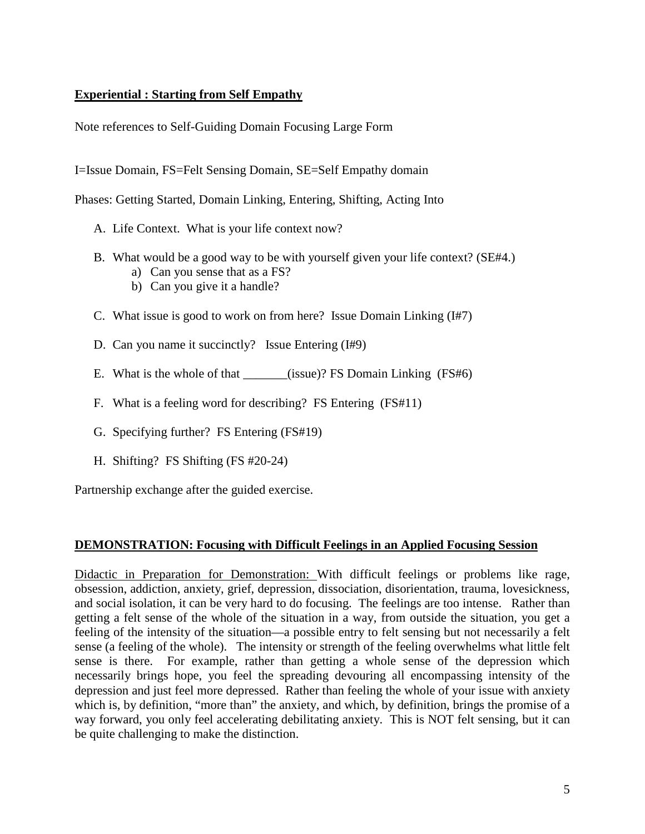## **Experiential : Starting from Self Empathy**

Note references to Self-Guiding Domain Focusing Large Form

I=Issue Domain, FS=Felt Sensing Domain, SE=Self Empathy domain

Phases: Getting Started, Domain Linking, Entering, Shifting, Acting Into

- A. Life Context. What is your life context now?
- B. What would be a good way to be with yourself given your life context? (SE#4.)
	- a) Can you sense that as a FS?
	- b) Can you give it a handle?
- C. What issue is good to work on from here? Issue Domain Linking (I#7)
- D. Can you name it succinctly? Issue Entering (I#9)
- E. What is the whole of that \_\_\_\_\_\_\_(issue)? FS Domain Linking (FS#6)
- F. What is a feeling word for describing? FS Entering (FS#11)
- G. Specifying further? FS Entering (FS#19)
- H. Shifting? FS Shifting (FS #20-24)

Partnership exchange after the guided exercise.

#### **DEMONSTRATION: Focusing with Difficult Feelings in an Applied Focusing Session**

Didactic in Preparation for Demonstration: With difficult feelings or problems like rage, obsession, addiction, anxiety, grief, depression, dissociation, disorientation, trauma, lovesickness, and social isolation, it can be very hard to do focusing. The feelings are too intense. Rather than getting a felt sense of the whole of the situation in a way, from outside the situation, you get a feeling of the intensity of the situation—a possible entry to felt sensing but not necessarily a felt sense (a feeling of the whole). The intensity or strength of the feeling overwhelms what little felt sense is there. For example, rather than getting a whole sense of the depression which necessarily brings hope, you feel the spreading devouring all encompassing intensity of the depression and just feel more depressed. Rather than feeling the whole of your issue with anxiety which is, by definition, "more than" the anxiety, and which, by definition, brings the promise of a way forward, you only feel accelerating debilitating anxiety. This is NOT felt sensing, but it can be quite challenging to make the distinction.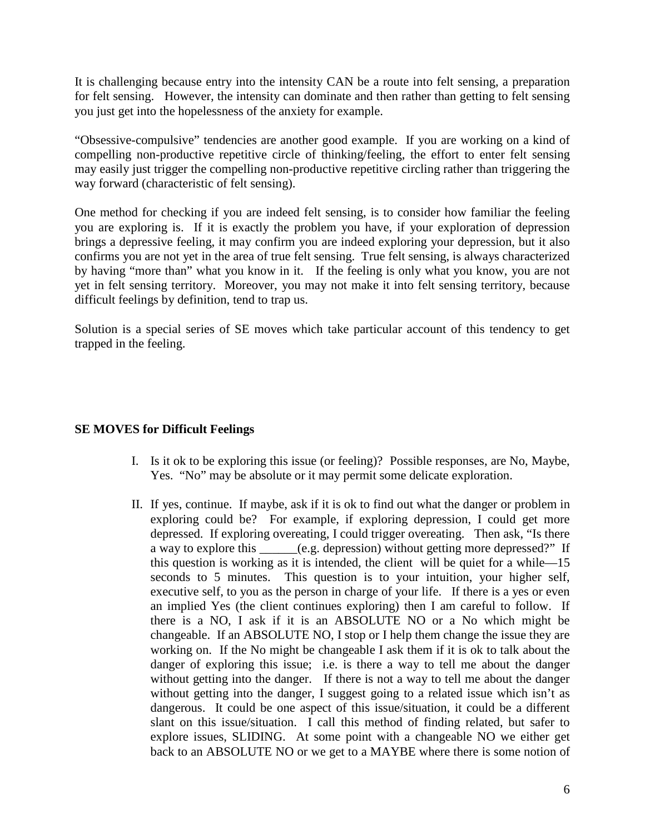It is challenging because entry into the intensity CAN be a route into felt sensing, a preparation for felt sensing. However, the intensity can dominate and then rather than getting to felt sensing you just get into the hopelessness of the anxiety for example.

"Obsessive-compulsive" tendencies are another good example. If you are working on a kind of compelling non-productive repetitive circle of thinking/feeling, the effort to enter felt sensing may easily just trigger the compelling non-productive repetitive circling rather than triggering the way forward (characteristic of felt sensing).

One method for checking if you are indeed felt sensing, is to consider how familiar the feeling you are exploring is. If it is exactly the problem you have, if your exploration of depression brings a depressive feeling, it may confirm you are indeed exploring your depression, but it also confirms you are not yet in the area of true felt sensing. True felt sensing, is always characterized by having "more than" what you know in it. If the feeling is only what you know, you are not yet in felt sensing territory. Moreover, you may not make it into felt sensing territory, because difficult feelings by definition, tend to trap us.

Solution is a special series of SE moves which take particular account of this tendency to get trapped in the feeling.

#### **SE MOVES for Difficult Feelings**

- I. Is it ok to be exploring this issue (or feeling)? Possible responses, are No, Maybe, Yes. "No" may be absolute or it may permit some delicate exploration.
- II. If yes, continue. If maybe, ask if it is ok to find out what the danger or problem in exploring could be? For example, if exploring depression, I could get more depressed. If exploring overeating, I could trigger overeating. Then ask, "Is there a way to explore this \_\_\_\_\_\_(e.g. depression) without getting more depressed?" If this question is working as it is intended, the client will be quiet for a while—15 seconds to 5 minutes. This question is to your intuition, your higher self, executive self, to you as the person in charge of your life. If there is a yes or even an implied Yes (the client continues exploring) then I am careful to follow. If there is a NO, I ask if it is an ABSOLUTE NO or a No which might be changeable. If an ABSOLUTE NO, I stop or I help them change the issue they are working on. If the No might be changeable I ask them if it is ok to talk about the danger of exploring this issue; i.e. is there a way to tell me about the danger without getting into the danger. If there is not a way to tell me about the danger without getting into the danger, I suggest going to a related issue which isn't as dangerous. It could be one aspect of this issue/situation, it could be a different slant on this issue/situation. I call this method of finding related, but safer to explore issues, SLIDING. At some point with a changeable NO we either get back to an ABSOLUTE NO or we get to a MAYBE where there is some notion of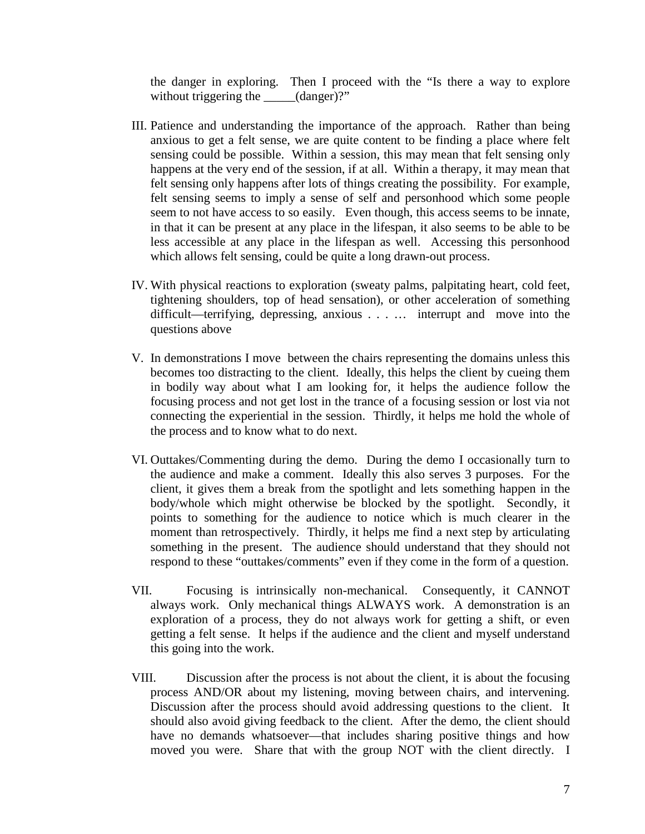the danger in exploring. Then I proceed with the "Is there a way to explore without triggering the  $(dangent)$ ?"

- III. Patience and understanding the importance of the approach. Rather than being anxious to get a felt sense, we are quite content to be finding a place where felt sensing could be possible. Within a session, this may mean that felt sensing only happens at the very end of the session, if at all. Within a therapy, it may mean that felt sensing only happens after lots of things creating the possibility. For example, felt sensing seems to imply a sense of self and personhood which some people seem to not have access to so easily. Even though, this access seems to be innate, in that it can be present at any place in the lifespan, it also seems to be able to be less accessible at any place in the lifespan as well. Accessing this personhood which allows felt sensing, could be quite a long drawn-out process.
- IV. With physical reactions to exploration (sweaty palms, palpitating heart, cold feet, tightening shoulders, top of head sensation), or other acceleration of something difficult—terrifying, depressing, anxious . . . … interrupt and move into the questions above
- V. In demonstrations I move between the chairs representing the domains unless this becomes too distracting to the client. Ideally, this helps the client by cueing them in bodily way about what I am looking for, it helps the audience follow the focusing process and not get lost in the trance of a focusing session or lost via not connecting the experiential in the session. Thirdly, it helps me hold the whole of the process and to know what to do next.
- VI. Outtakes/Commenting during the demo. During the demo I occasionally turn to the audience and make a comment. Ideally this also serves 3 purposes. For the client, it gives them a break from the spotlight and lets something happen in the body/whole which might otherwise be blocked by the spotlight. Secondly, it points to something for the audience to notice which is much clearer in the moment than retrospectively. Thirdly, it helps me find a next step by articulating something in the present. The audience should understand that they should not respond to these "outtakes/comments" even if they come in the form of a question.
- VII. Focusing is intrinsically non-mechanical. Consequently, it CANNOT always work. Only mechanical things ALWAYS work. A demonstration is an exploration of a process, they do not always work for getting a shift, or even getting a felt sense. It helps if the audience and the client and myself understand this going into the work.
- VIII. Discussion after the process is not about the client, it is about the focusing process AND/OR about my listening, moving between chairs, and intervening. Discussion after the process should avoid addressing questions to the client. It should also avoid giving feedback to the client. After the demo, the client should have no demands whatsoever—that includes sharing positive things and how moved you were. Share that with the group NOT with the client directly. I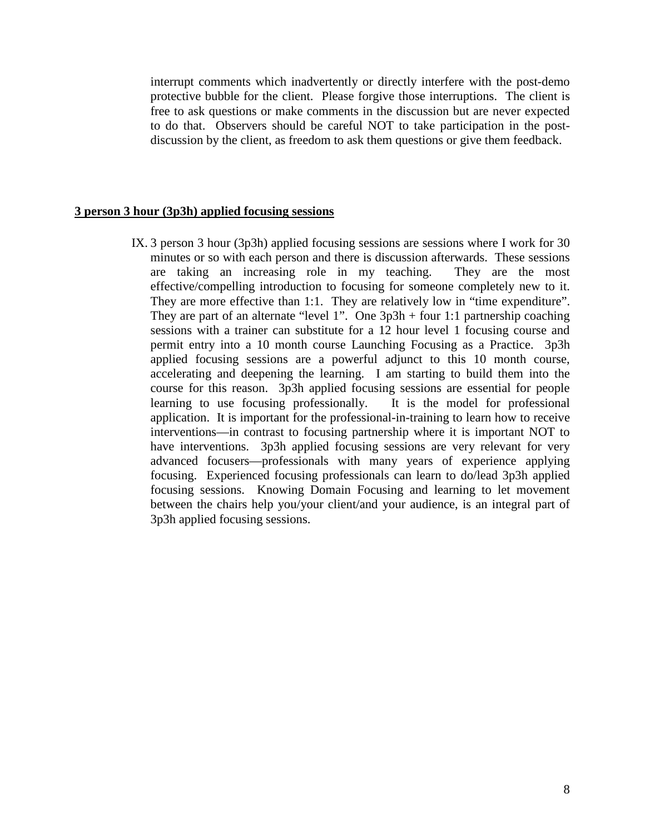interrupt comments which inadvertently or directly interfere with the post-demo protective bubble for the client. Please forgive those interruptions. The client is free to ask questions or make comments in the discussion but are never expected to do that. Observers should be careful NOT to take participation in the postdiscussion by the client, as freedom to ask them questions or give them feedback.

#### **3 person 3 hour (3p3h) applied focusing sessions**

IX. 3 person 3 hour (3p3h) applied focusing sessions are sessions where I work for 30 minutes or so with each person and there is discussion afterwards. These sessions are taking an increasing role in my teaching. They are the most effective/compelling introduction to focusing for someone completely new to it. They are more effective than 1:1. They are relatively low in "time expenditure". They are part of an alternate "level 1". One  $3p3h + 60$  1:1 partnership coaching sessions with a trainer can substitute for a 12 hour level 1 focusing course and permit entry into a 10 month course Launching Focusing as a Practice. 3p3h applied focusing sessions are a powerful adjunct to this 10 month course, accelerating and deepening the learning. I am starting to build them into the course for this reason. 3p3h applied focusing sessions are essential for people learning to use focusing professionally. It is the model for professional application. It is important for the professional-in-training to learn how to receive interventions—in contrast to focusing partnership where it is important NOT to have interventions. 3p3h applied focusing sessions are very relevant for very advanced focusers—professionals with many years of experience applying focusing. Experienced focusing professionals can learn to do/lead 3p3h applied focusing sessions. Knowing Domain Focusing and learning to let movement between the chairs help you/your client/and your audience, is an integral part of 3p3h applied focusing sessions.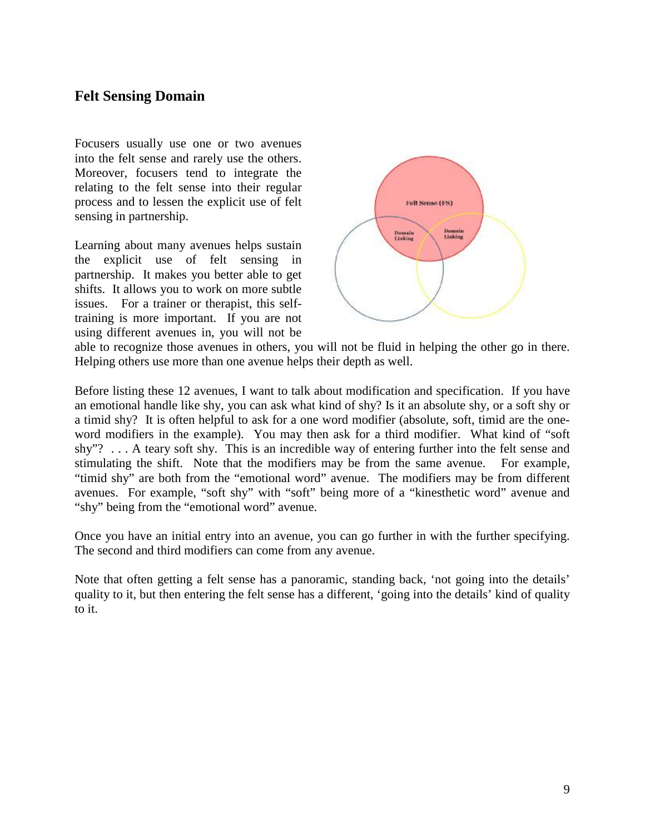## **Felt Sensing Domain**

Focusers usually use one or two avenues into the felt sense and rarely use the others. Moreover, focusers tend to integrate the relating to the felt sense into their regular process and to lessen the explicit use of felt sensing in partnership.

Learning about many avenues helps sustain the explicit use of felt sensing in partnership. It makes you better able to get shifts. It allows you to work on more subtle issues. For a trainer or therapist, this selftraining is more important. If you are not using different avenues in, you will not be



able to recognize those avenues in others, you will not be fluid in helping the other go in there. Helping others use more than one avenue helps their depth as well.

Before listing these 12 avenues, I want to talk about modification and specification. If you have an emotional handle like shy, you can ask what kind of shy? Is it an absolute shy, or a soft shy or a timid shy? It is often helpful to ask for a one word modifier (absolute, soft, timid are the oneword modifiers in the example). You may then ask for a third modifier. What kind of "soft shy"? . . . A teary soft shy. This is an incredible way of entering further into the felt sense and stimulating the shift. Note that the modifiers may be from the same avenue. For example, "timid shy" are both from the "emotional word" avenue. The modifiers may be from different avenues. For example, "soft shy" with "soft" being more of a "kinesthetic word" avenue and "shy" being from the "emotional word" avenue.

Once you have an initial entry into an avenue, you can go further in with the further specifying. The second and third modifiers can come from any avenue.

Note that often getting a felt sense has a panoramic, standing back, 'not going into the details' quality to it, but then entering the felt sense has a different, 'going into the details' kind of quality to it.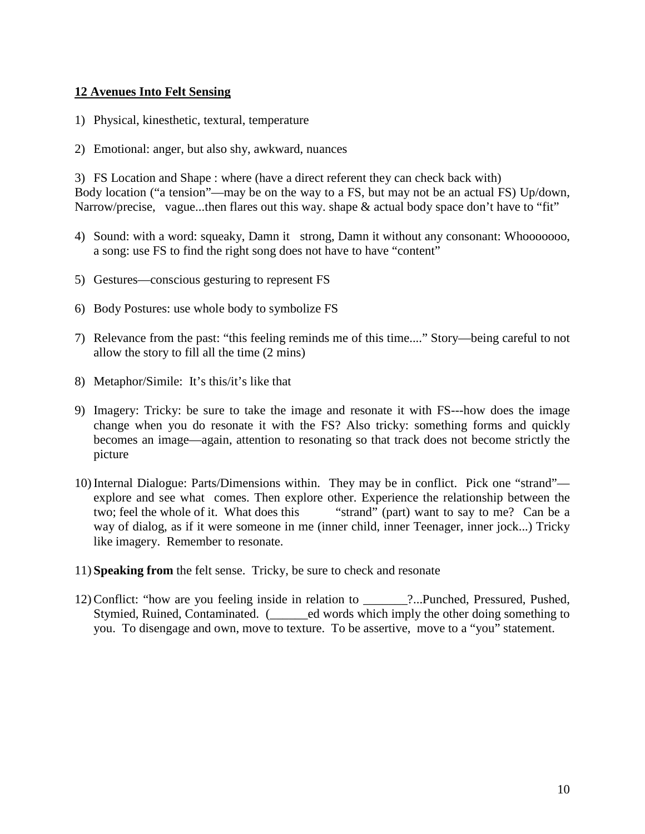## **12 Avenues Into Felt Sensing**

- 1) Physical, kinesthetic, textural, temperature
- 2) Emotional: anger, but also shy, awkward, nuances

3) FS Location and Shape : where (have a direct referent they can check back with) Body location ("a tension"—may be on the way to a FS, but may not be an actual FS) Up/down, Narrow/precise, vague...then flares out this way. shape & actual body space don't have to "fit"

- 4) Sound: with a word: squeaky, Damn it strong, Damn it without any consonant: Whooooooo, a song: use FS to find the right song does not have to have "content"
- 5) Gestures—conscious gesturing to represent FS
- 6) Body Postures: use whole body to symbolize FS
- 7) Relevance from the past: "this feeling reminds me of this time...." Story—being careful to not allow the story to fill all the time (2 mins)
- 8) Metaphor/Simile: It's this/it's like that
- 9) Imagery: Tricky: be sure to take the image and resonate it with FS---how does the image change when you do resonate it with the FS? Also tricky: something forms and quickly becomes an image—again, attention to resonating so that track does not become strictly the picture
- 10) Internal Dialogue: Parts/Dimensions within. They may be in conflict. Pick one "strand" explore and see what comes. Then explore other. Experience the relationship between the two; feel the whole of it. What does this "strand" (part) want to say to me? Can be a way of dialog, as if it were someone in me (inner child, inner Teenager, inner jock...) Tricky like imagery. Remember to resonate.
- 11) **Speaking from** the felt sense. Tricky, be sure to check and resonate
- 12) Conflict: "how are you feeling inside in relation to \_\_\_\_\_\_\_?...Punched, Pressured, Pushed, Stymied, Ruined, Contaminated. (\_\_\_\_\_\_ed words which imply the other doing something to you. To disengage and own, move to texture. To be assertive, move to a "you" statement.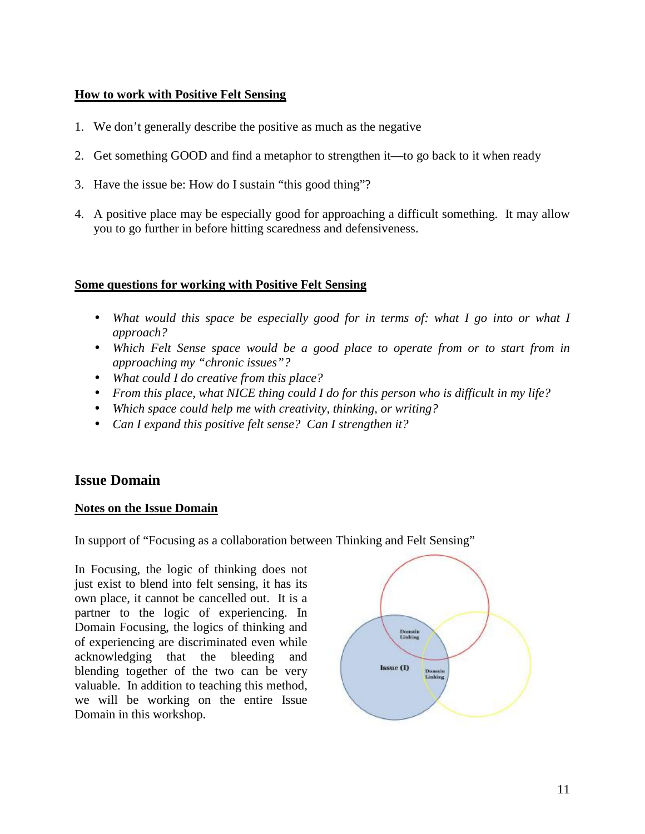## **How to work with Positive Felt Sensing**

- 1. We don't generally describe the positive as much as the negative
- 2. Get something GOOD and find a metaphor to strengthen it—to go back to it when ready
- 3. Have the issue be: How do I sustain "this good thing"?
- 4. A positive place may be especially good for approaching a difficult something. It may allow you to go further in before hitting scaredness and defensiveness.

## **Some questions for working with Positive Felt Sensing**

- *What would this space be especially good for in terms of: what I go into or what I approach?*
- *Which Felt Sense space would be a good place to operate from or to start from in approaching my "chronic issues"?*
- *What could I do creative from this place?*
- *From this place, what NICE thing could I do for this person who is difficult in my life?*
- *Which space could help me with creativity, thinking, or writing?*
- *Can I expand this positive felt sense? Can I strengthen it?*

## **Issue Domain**

#### **Notes on the Issue Domain**

In support of "Focusing as a collaboration between Thinking and Felt Sensing"

In Focusing, the logic of thinking does not just exist to blend into felt sensing, it has its own place, it cannot be cancelled out. It is a partner to the logic of experiencing. In Domain Focusing, the logics of thinking and of experiencing are discriminated even while acknowledging that the bleeding and blending together of the two can be very valuable. In addition to teaching this method, we will be working on the entire Issue Domain in this workshop.

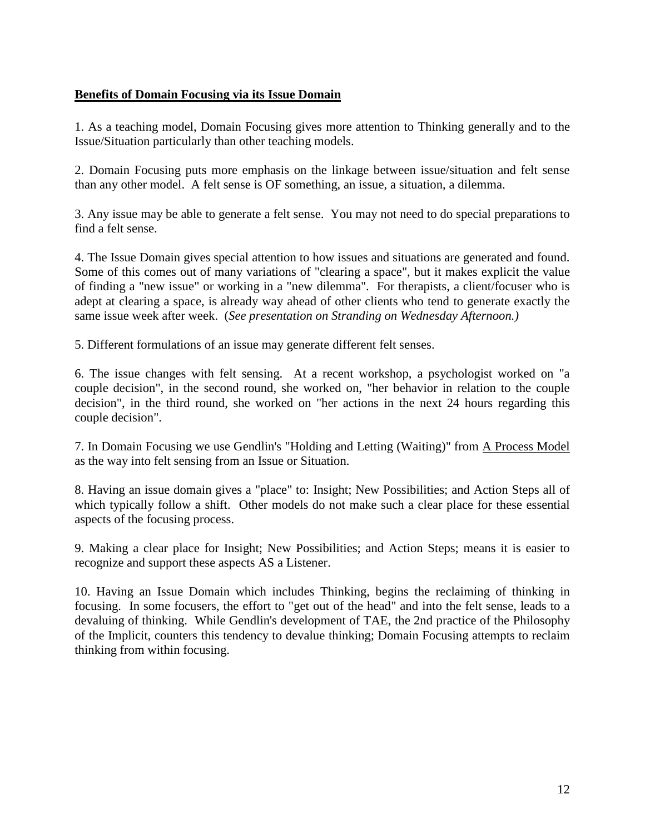## **Benefits of Domain Focusing via its Issue Domain**

1. As a teaching model, Domain Focusing gives more attention to Thinking generally and to the Issue/Situation particularly than other teaching models.

2. Domain Focusing puts more emphasis on the linkage between issue/situation and felt sense than any other model. A felt sense is OF something, an issue, a situation, a dilemma.

3. Any issue may be able to generate a felt sense. You may not need to do special preparations to find a felt sense.

4. The Issue Domain gives special attention to how issues and situations are generated and found. Some of this comes out of many variations of "clearing a space", but it makes explicit the value of finding a "new issue" or working in a "new dilemma". For therapists, a client/focuser who is adept at clearing a space, is already way ahead of other clients who tend to generate exactly the same issue week after week. (*See presentation on Stranding on Wednesday Afternoon.)* 

5. Different formulations of an issue may generate different felt senses.

6. The issue changes with felt sensing. At a recent workshop, a psychologist worked on "a couple decision", in the second round, she worked on, "her behavior in relation to the couple decision", in the third round, she worked on "her actions in the next 24 hours regarding this couple decision".

7. In Domain Focusing we use Gendlin's "Holding and Letting (Waiting)" from A Process Model as the way into felt sensing from an Issue or Situation.

8. Having an issue domain gives a "place" to: Insight; New Possibilities; and Action Steps all of which typically follow a shift. Other models do not make such a clear place for these essential aspects of the focusing process.

9. Making a clear place for Insight; New Possibilities; and Action Steps; means it is easier to recognize and support these aspects AS a Listener.

10. Having an Issue Domain which includes Thinking, begins the reclaiming of thinking in focusing. In some focusers, the effort to "get out of the head" and into the felt sense, leads to a devaluing of thinking. While Gendlin's development of TAE, the 2nd practice of the Philosophy of the Implicit, counters this tendency to devalue thinking; Domain Focusing attempts to reclaim thinking from within focusing.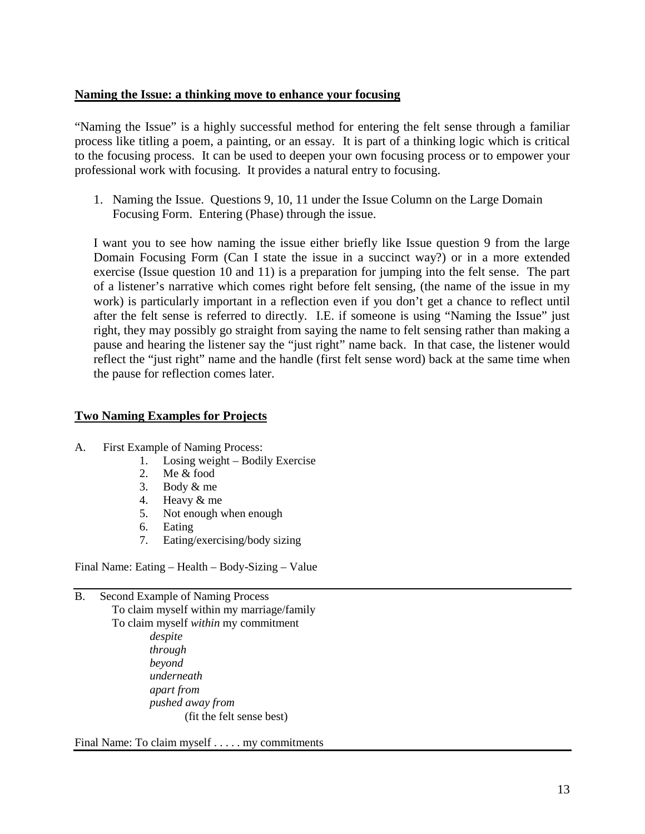#### **Naming the Issue: a thinking move to enhance your focusing**

"Naming the Issue" is a highly successful method for entering the felt sense through a familiar process like titling a poem, a painting, or an essay. It is part of a thinking logic which is critical to the focusing process. It can be used to deepen your own focusing process or to empower your professional work with focusing. It provides a natural entry to focusing.

1. Naming the Issue. Questions 9, 10, 11 under the Issue Column on the Large Domain Focusing Form. Entering (Phase) through the issue.

I want you to see how naming the issue either briefly like Issue question 9 from the large Domain Focusing Form (Can I state the issue in a succinct way?) or in a more extended exercise (Issue question 10 and 11) is a preparation for jumping into the felt sense. The part of a listener's narrative which comes right before felt sensing, (the name of the issue in my work) is particularly important in a reflection even if you don't get a chance to reflect until after the felt sense is referred to directly. I.E. if someone is using "Naming the Issue" just right, they may possibly go straight from saying the name to felt sensing rather than making a pause and hearing the listener say the "just right" name back. In that case, the listener would reflect the "just right" name and the handle (first felt sense word) back at the same time when the pause for reflection comes later.

### **Two Naming Examples for Projects**

- A. First Example of Naming Process:
	- 1. Losing weight Bodily Exercise
	- 2. Me & food
	- 3. Body & me
	- 4. Heavy & me
	- 5. Not enough when enough
	- 6. Eating
	- 7. Eating/exercising/body sizing

Final Name: Eating – Health – Body-Sizing – Value

B. Second Example of Naming Process To claim myself within my marriage/family To claim myself *within* my commitment  *despite through beyond underneath apart from pushed away from*  (fit the felt sense best)

Final Name: To claim myself . . . . . my commitments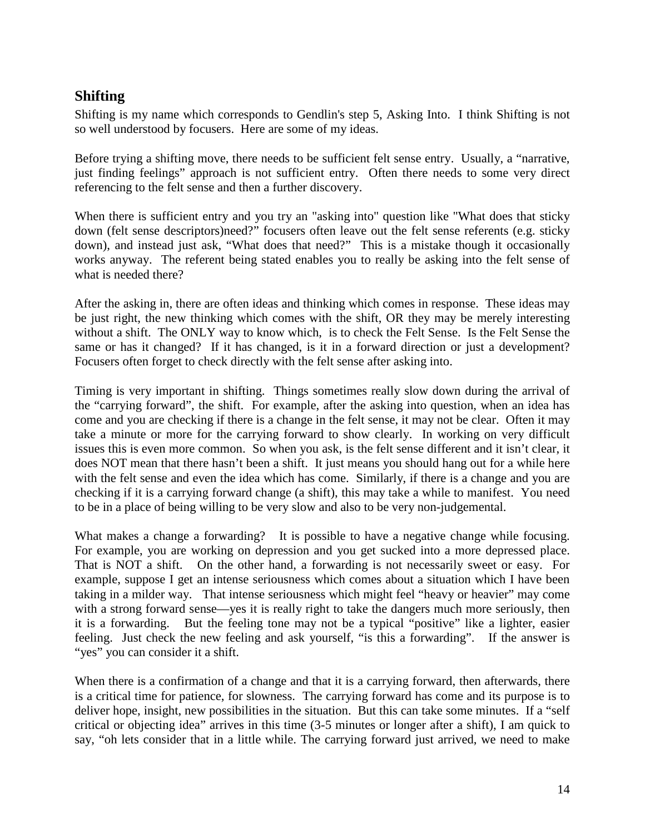## **Shifting**

Shifting is my name which corresponds to Gendlin's step 5, Asking Into. I think Shifting is not so well understood by focusers. Here are some of my ideas.

Before trying a shifting move, there needs to be sufficient felt sense entry. Usually, a "narrative, just finding feelings" approach is not sufficient entry. Often there needs to some very direct referencing to the felt sense and then a further discovery.

When there is sufficient entry and you try an "asking into" question like "What does that sticky down (felt sense descriptors)need?" focusers often leave out the felt sense referents (e.g. sticky down), and instead just ask, "What does that need?" This is a mistake though it occasionally works anyway. The referent being stated enables you to really be asking into the felt sense of what is needed there?

After the asking in, there are often ideas and thinking which comes in response. These ideas may be just right, the new thinking which comes with the shift, OR they may be merely interesting without a shift. The ONLY way to know which, is to check the Felt Sense. Is the Felt Sense the same or has it changed? If it has changed, is it in a forward direction or just a development? Focusers often forget to check directly with the felt sense after asking into.

Timing is very important in shifting. Things sometimes really slow down during the arrival of the "carrying forward", the shift. For example, after the asking into question, when an idea has come and you are checking if there is a change in the felt sense, it may not be clear. Often it may take a minute or more for the carrying forward to show clearly. In working on very difficult issues this is even more common. So when you ask, is the felt sense different and it isn't clear, it does NOT mean that there hasn't been a shift. It just means you should hang out for a while here with the felt sense and even the idea which has come. Similarly, if there is a change and you are checking if it is a carrying forward change (a shift), this may take a while to manifest. You need to be in a place of being willing to be very slow and also to be very non-judgemental.

What makes a change a forwarding? It is possible to have a negative change while focusing. For example, you are working on depression and you get sucked into a more depressed place. That is NOT a shift. On the other hand, a forwarding is not necessarily sweet or easy. For example, suppose I get an intense seriousness which comes about a situation which I have been taking in a milder way. That intense seriousness which might feel "heavy or heavier" may come with a strong forward sense—yes it is really right to take the dangers much more seriously, then it is a forwarding. But the feeling tone may not be a typical "positive" like a lighter, easier feeling. Just check the new feeling and ask yourself, "is this a forwarding". If the answer is "yes" you can consider it a shift.

When there is a confirmation of a change and that it is a carrying forward, then afterwards, there is a critical time for patience, for slowness. The carrying forward has come and its purpose is to deliver hope, insight, new possibilities in the situation. But this can take some minutes. If a "self critical or objecting idea" arrives in this time (3-5 minutes or longer after a shift), I am quick to say, "oh lets consider that in a little while. The carrying forward just arrived, we need to make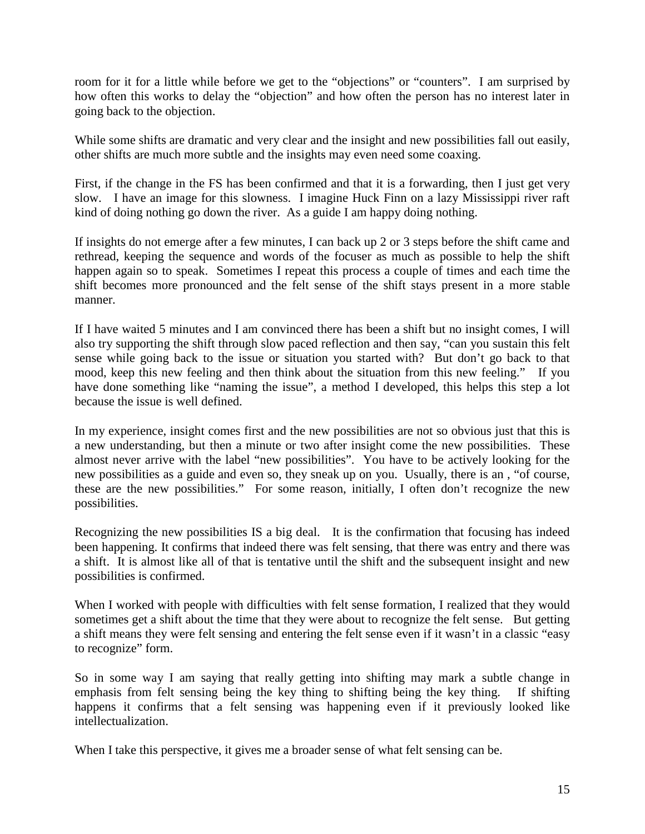room for it for a little while before we get to the "objections" or "counters". I am surprised by how often this works to delay the "objection" and how often the person has no interest later in going back to the objection.

While some shifts are dramatic and very clear and the insight and new possibilities fall out easily, other shifts are much more subtle and the insights may even need some coaxing.

First, if the change in the FS has been confirmed and that it is a forwarding, then I just get very slow. I have an image for this slowness. I imagine Huck Finn on a lazy Mississippi river raft kind of doing nothing go down the river. As a guide I am happy doing nothing.

If insights do not emerge after a few minutes, I can back up 2 or 3 steps before the shift came and rethread, keeping the sequence and words of the focuser as much as possible to help the shift happen again so to speak. Sometimes I repeat this process a couple of times and each time the shift becomes more pronounced and the felt sense of the shift stays present in a more stable manner.

If I have waited 5 minutes and I am convinced there has been a shift but no insight comes, I will also try supporting the shift through slow paced reflection and then say, "can you sustain this felt sense while going back to the issue or situation you started with? But don't go back to that mood, keep this new feeling and then think about the situation from this new feeling." If you have done something like "naming the issue", a method I developed, this helps this step a lot because the issue is well defined.

In my experience, insight comes first and the new possibilities are not so obvious just that this is a new understanding, but then a minute or two after insight come the new possibilities. These almost never arrive with the label "new possibilities". You have to be actively looking for the new possibilities as a guide and even so, they sneak up on you. Usually, there is an , "of course, these are the new possibilities." For some reason, initially, I often don't recognize the new possibilities.

Recognizing the new possibilities IS a big deal. It is the confirmation that focusing has indeed been happening. It confirms that indeed there was felt sensing, that there was entry and there was a shift. It is almost like all of that is tentative until the shift and the subsequent insight and new possibilities is confirmed.

When I worked with people with difficulties with felt sense formation, I realized that they would sometimes get a shift about the time that they were about to recognize the felt sense. But getting a shift means they were felt sensing and entering the felt sense even if it wasn't in a classic "easy to recognize" form.

So in some way I am saying that really getting into shifting may mark a subtle change in emphasis from felt sensing being the key thing to shifting being the key thing. If shifting happens it confirms that a felt sensing was happening even if it previously looked like intellectualization.

When I take this perspective, it gives me a broader sense of what felt sensing can be.